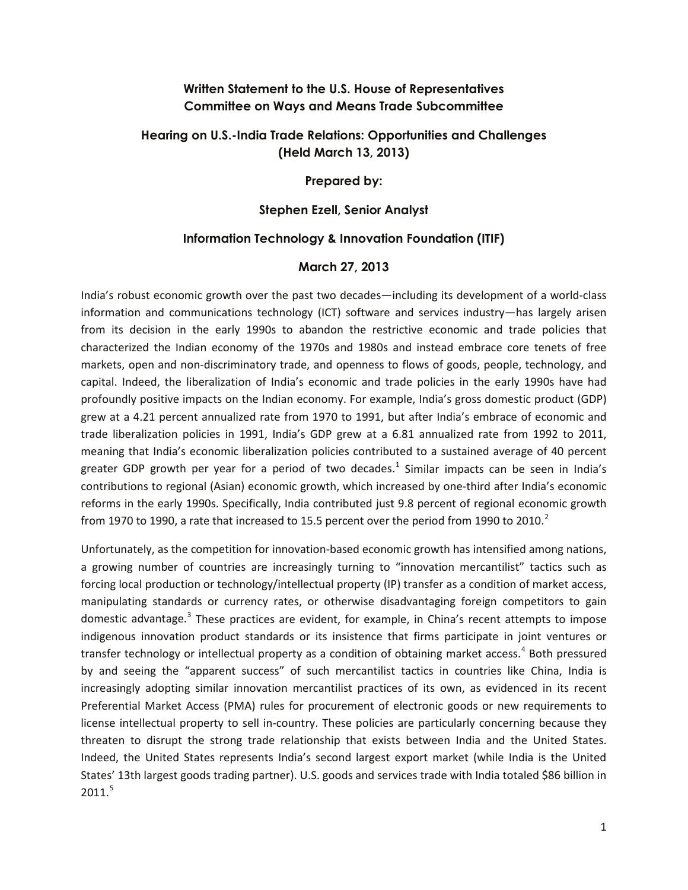# **Written Statement to the U.S. House of Representatives Committee on Ways and Means Trade Subcommittee**

# **Hearing on U.S.-India Trade Relations: Opportunities and Challenges (Held March 13, 2013)**

#### **Prepared by:**

### **Stephen Ezell, Senior Analyst**

## **Information Technology & Innovation Foundation (ITIF)**

#### **March 27, 2013**

India's robust economic growth over the past two decades—including its development of a world-class information and communications technology (ICT) software and services industry—has largely arisen from its decision in the early 1990s to abandon the restrictive economic and trade policies that characterized the Indian economy of the 1970s and 1980s and instead embrace core tenets of free markets, open and non-discriminatory trade, and openness to flows of goods, people, technology, and capital. Indeed, the liberalization of India's economic and trade policies in the early 1990s have had profoundly positive impacts on the Indian economy. For example, India's gross domestic product (GDP) grew at a 4.21 percent annualized rate from 1970 to 1991, but after India's embrace of economic and trade liberalization policies in 1991, India's GDP grew at a 6.81 annualized rate from 1992 to 2011, meaning that India's economic liberalization policies contributed to a sustained average of 40 percent greater GDP growth per year for a period of two decades.<sup>[1](#page-2-0)</sup> Similar impacts can be seen in India's contributions to regional (Asian) economic growth, which increased by one-third after India's economic reforms in the early 1990s. Specifically, India contributed just 9.8 percent of regional economic growth from 1970 to 1990, a rate that increased to 15.5 percent over the period from 1990 to [2](#page-2-1)010.<sup>2</sup>

Unfortunately, as the competition for innovation-based economic growth has intensified among nations, a growing number of countries are increasingly turning to "innovation mercantilist" tactics such as forcing local production or technology/intellectual property (IP) transfer as a condition of market access, manipulating standards or currency rates, or otherwise disadvantaging foreign competitors to gain domestic advantage. $3$  These practices are evident, for example, in China's recent attempts to impose indigenous innovation product standards or its insistence that firms participate in joint ventures or transfer technology or intellectual property as a condition of obtaining market access.<sup>[4](#page-2-3)</sup> Both pressured by and seeing the "apparent success" of such mercantilist tactics in countries like China, India is increasingly adopting similar innovation mercantilist practices of its own, as evidenced in its recent Preferential Market Access (PMA) rules for procurement of electronic goods or new requirements to license intellectual property to sell in-country. These policies are particularly concerning because they threaten to disrupt the strong trade relationship that exists between India and the United States. Indeed, the United States represents India's second largest export market (while India is the United States' 13th largest goods trading partner). U.S. goods and services trade with India totaled \$86 billion in  $2011.<sup>5</sup>$  $2011.<sup>5</sup>$  $2011.<sup>5</sup>$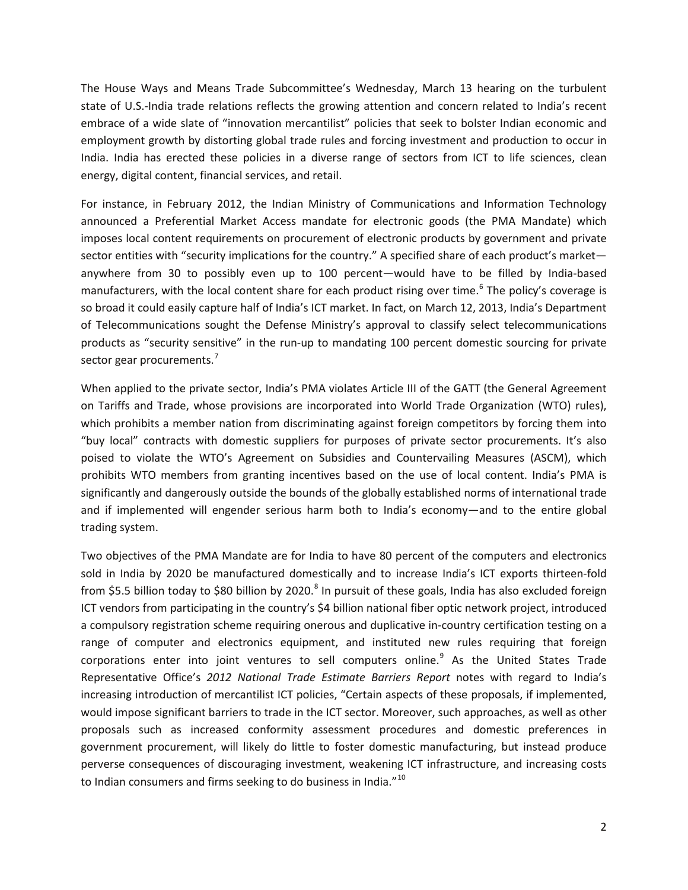The House Ways and Means Trade Subcommittee's Wednesday, March 13 hearing on the turbulent state of U.S.-India trade relations reflects the growing attention and concern related to India's recent embrace of a wide slate of "innovation mercantilist" policies that seek to bolster Indian economic and employment growth by distorting global trade rules and forcing investment and production to occur in India. India has erected these policies in a diverse range of sectors from ICT to life sciences, clean energy, digital content, financial services, and retail.

For instance, in February 2012, the Indian Ministry of Communications and Information Technology announced a Preferential Market Access mandate for electronic goods (the PMA Mandate) which imposes local content requirements on procurement of electronic products by government and private sector entities with "security implications for the country." A specified share of each product's market anywhere from 30 to possibly even up to 100 percent—would have to be filled by India-based manufacturers, with the local content share for each product rising over time.<sup>[6](#page-3-0)</sup> The policy's coverage is so broad it could easily capture half of India's ICT market. In fact, on March 12, 2013, India's Department of Telecommunications sought the Defense Ministry's approval to classify select telecommunications products as "security sensitive" in the run-up to mandating 100 percent domestic sourcing for private sector gear procurements.<sup>[7](#page-3-1)</sup>

When applied to the private sector, India's PMA violates Article III of the GATT (the General Agreement on Tariffs and Trade, whose provisions are incorporated into World Trade Organization (WTO) rules), which prohibits a member nation from discriminating against foreign competitors by forcing them into "buy local" contracts with domestic suppliers for purposes of private sector procurements. It's also poised to violate the WTO's Agreement on Subsidies and Countervailing Measures (ASCM), which prohibits WTO members from granting incentives based on the use of local content. India's PMA is significantly and dangerously outside the bounds of the globally established norms of international trade and if implemented will engender serious harm both to India's economy—and to the entire global trading system.

Two objectives of the PMA Mandate are for India to have 80 percent of the computers and electronics sold in India by 2020 be manufactured domestically and to increase India's ICT exports thirteen-fold from \$5.5 billion today to \$[8](#page-3-2)0 billion by 2020.<sup>8</sup> In pursuit of these goals, India has also excluded foreign ICT vendors from participating in the country's \$4 billion national fiber optic network project, introduced a compulsory registration scheme requiring onerous and duplicative in-country certification testing on a range of computer and electronics equipment, and instituted new rules requiring that foreign corporations enter into joint ventures to sell computers online. [9](#page-3-3) As the United States Trade Representative Office's *2012 National Trade Estimate Barriers Report* notes with regard to India's increasing introduction of mercantilist ICT policies, "Certain aspects of these proposals, if implemented, would impose significant barriers to trade in the ICT sector. Moreover, such approaches, as well as other proposals such as increased conformity assessment procedures and domestic preferences in government procurement, will likely do little to foster domestic manufacturing, but instead produce perverse consequences of discouraging investment, weakening ICT infrastructure, and increasing costs to Indian consumers and firms seeking to do business in India."<sup>[10](#page-3-4)</sup>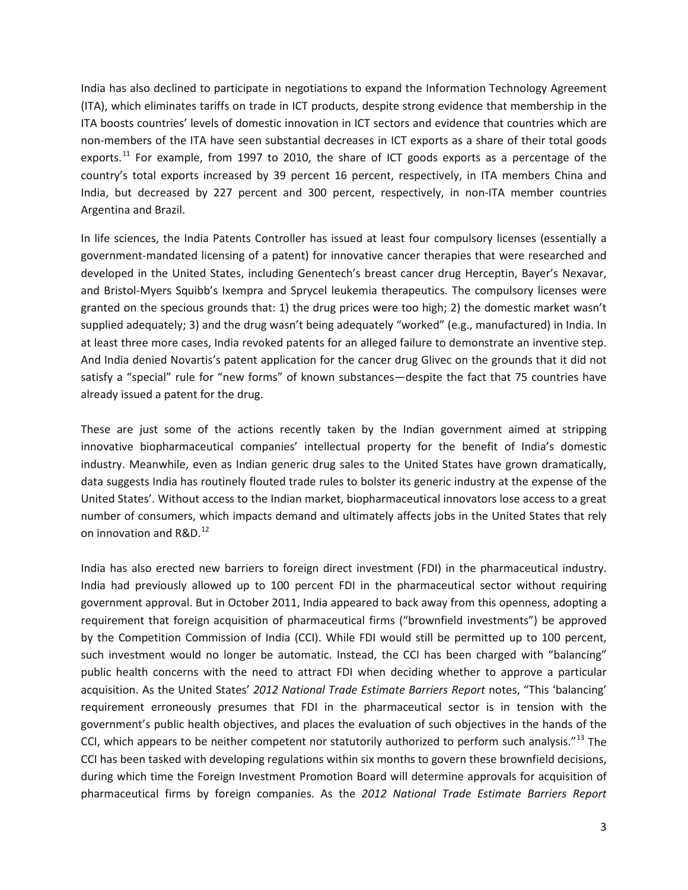<span id="page-2-1"></span><span id="page-2-0"></span>India has also declined to participate in negotiations to expand the Information Technology Agreement (ITA), which eliminates tariffs on trade in ICT products, despite strong evidence that membership in the ITA boosts countries' levels of domestic innovation in ICT sectors and evidence that countries which are non-members of the ITA have seen substantial decreases in ICT exports as a share of their total goods exports.<sup>[11](#page-4-0)</sup> For example, from 1997 to 2010, the share of ICT goods exports as a percentage of the country's total exports increased by 39 percent 16 percent, respectively, in ITA members China and India, but decreased by 227 percent and 300 percent, respectively, in non-ITA member countries Argentina and Brazil.

<span id="page-2-4"></span><span id="page-2-3"></span><span id="page-2-2"></span>In life sciences, the India Patents Controller has issued at least four compulsory licenses (essentially a government-mandated licensing of a patent) for innovative cancer therapies that were researched and developed in the United States, including Genentech's breast cancer drug Herceptin, Bayer's Nexavar, and Bristol-Myers Squibb's Ixempra and Sprycel leukemia therapeutics. The compulsory licenses were granted on the specious grounds that: 1) the drug prices were too high; 2) the domestic market wasn't supplied adequately; 3) and the drug wasn't being adequately "worked" (e.g., manufactured) in India. In at least three more cases, India revoked patents for an alleged failure to demonstrate an inventive step. And India denied Novartis's patent application for the cancer drug Glivec on the grounds that it did not satisfy a "special" rule for "new forms" of known substances—despite the fact that 75 countries have already issued a patent for the drug.

These are just some of the actions recently taken by the Indian government aimed at stripping innovative biopharmaceutical companies' intellectual property for the benefit of India's domestic industry. Meanwhile, even as Indian generic drug sales to the United States have grown dramatically, data suggests India has routinely flouted trade rules to bolster its generic industry at the expense of the United States'. Without access to the Indian market, biopharmaceutical innovators lose access to a great number of consumers, which impacts demand and ultimately affects jobs in the United States that rely on innovation and R&D.<sup>[12](#page-4-1)</sup>

India has also erected new barriers to foreign direct investment (FDI) in the pharmaceutical industry. India had previously allowed up to 100 percent FDI in the pharmaceutical sector without requiring government approval. But in October 2011, India appeared to back away from this openness, adopting a requirement that foreign acquisition of pharmaceutical firms ("brownfield investments") be approved by the Competition Commission of India (CCI). While FDI would still be permitted up to 100 percent, such investment would no longer be automatic. Instead, the CCI has been charged with "balancing" public health concerns with the need to attract FDI when deciding whether to approve a particular acquisition. As the United States' *2012 National Trade Estimate Barriers Report* notes, "This 'balancing' requirement erroneously presumes that FDI in the pharmaceutical sector is in tension with the government's public health objectives, and places the evaluation of such objectives in the hands of the CCI, which appears to be neither competent nor statutorily authorized to perform such analysis." $^{13}$  $^{13}$  $^{13}$  The CCI has been tasked with developing regulations within six months to govern these brownfield decisions, during which time the Foreign Investment Promotion Board will determine approvals for acquisition of pharmaceutical firms by foreign companies. As the *2012 National Trade Estimate Barriers Report*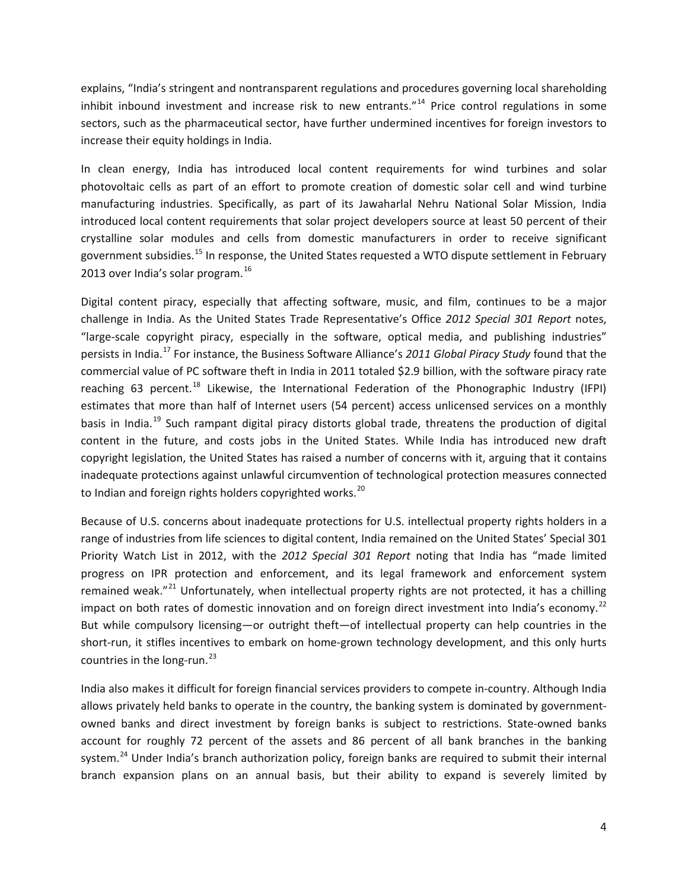explains, "India's stringent and nontransparent regulations and procedures governing local shareholding inhibit inbound investment and increase risk to new entrants."<sup>[14](#page-5-0)</sup> Price control regulations in some sectors, such as the pharmaceutical sector, have further undermined incentives for foreign investors to increase their equity holdings in India.

In clean energy, India has introduced local content requirements for wind turbines and solar photovoltaic cells as part of an effort to promote creation of domestic solar cell and wind turbine manufacturing industries. Specifically, as part of its Jawaharlal Nehru National Solar Mission, India introduced local content requirements that solar project developers source at least 50 percent of their crystalline solar modules and cells from domestic manufacturers in order to receive significant government subsidies.[15](#page-5-1) In response, the United States requested a WTO dispute settlement in February 2013 over India's solar program.<sup>[16](#page-5-2)</sup>

<span id="page-3-4"></span><span id="page-3-3"></span><span id="page-3-2"></span><span id="page-3-1"></span><span id="page-3-0"></span>Digital content piracy, especially that affecting software, music, and film, continues to be a major challenge in India. As the United States Trade Representative's Office *2012 Special 301 Report* notes, "large-scale copyright piracy, especially in the software, optical media, and publishing industries" persists in India. [17](#page-5-3) For instance, the Business Software Alliance's *2011 Global Piracy Study* found that the commercial value of PC software theft in India in 2011 totaled \$2.9 billion, with the software piracy rate reaching 63 percent.<sup>[18](#page-5-4)</sup> Likewise, the International Federation of the Phonographic Industry (IFPI) estimates that more than half of Internet users (54 percent) access unlicensed services on a monthly basis in India.<sup>[19](#page-5-5)</sup> Such rampant digital piracy distorts global trade, threatens the production of digital content in the future, and costs jobs in the United States. While India has introduced new draft copyright legislation, the United States has raised a number of concerns with it, arguing that it contains inadequate protections against unlawful circumvention of technological protection measures connected to Indian and foreign rights holders copyrighted works.<sup>[20](#page-5-6)</sup>

Because of U.S. concerns about inadequate protections for U.S. intellectual property rights holders in a range of industries from life sciences to digital content, India remained on the United States' Special 301 Priority Watch List in 2012, with the *2012 Special 301 Report* noting that India has "made limited progress on IPR protection and enforcement, and its legal framework and enforcement system remained weak."<sup>[21](#page-5-7)</sup> Unfortunately, when intellectual property rights are not protected, it has a chilling impact on both rates of domestic innovation and on foreign direct investment into India's economy.<sup>[22](#page-5-8)</sup> But while compulsory licensing—or outright theft—of intellectual property can help countries in the short-run, it stifles incentives to embark on home-grown technology development, and this only hurts countries in the long-run. $^{23}$  $^{23}$  $^{23}$ 

India also makes it difficult for foreign financial services providers to compete in-country. Although India allows privately held banks to operate in the country, the banking system is dominated by governmentowned banks and direct investment by foreign banks is subject to restrictions. State-owned banks account for roughly 72 percent of the assets and 86 percent of all bank branches in the banking system.<sup>[24](#page-5-10)</sup> Under India's branch authorization policy, foreign banks are required to submit their internal branch expansion plans on an annual basis, but their ability to expand is severely limited by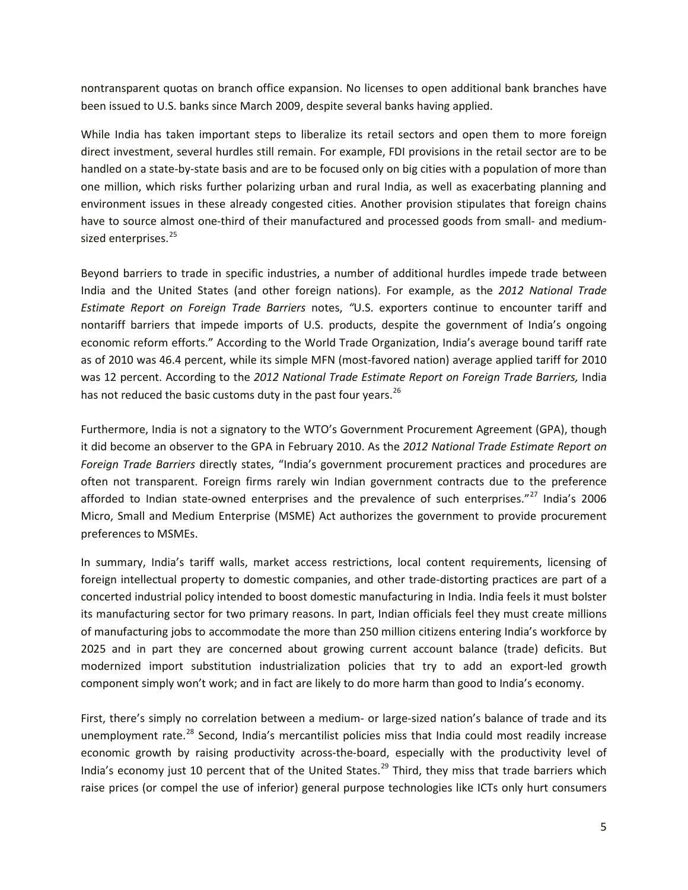nontransparent quotas on branch office expansion. No licenses to open additional bank branches have been issued to U.S. banks since March 2009, despite several banks having applied.

While India has taken important steps to liberalize its retail sectors and open them to more foreign direct investment, several hurdles still remain. For example, FDI provisions in the retail sector are to be handled on a state-by-state basis and are to be focused only on big cities with a population of more than one million, which risks further polarizing urban and rural India, as well as exacerbating planning and environment issues in these already congested cities. Another provision stipulates that foreign chains have to source almost one-third of their manufactured and processed goods from small- and medium-sized enterprises.<sup>[25](#page-6-0)</sup>

Beyond barriers to trade in specific industries, a number of additional hurdles impede trade between India and the United States (and other foreign nations). For example, as the *2012 National Trade Estimate Report on Foreign Trade Barriers* notes, *"*U.S. exporters continue to encounter tariff and nontariff barriers that impede imports of U.S. products, despite the government of India's ongoing economic reform efforts." According to the World Trade Organization, India's average bound tariff rate as of 2010 was 46.4 percent, while its simple MFN (most-favored nation) average applied tariff for 2010 was 12 percent. According to the *2012 National Trade Estimate Report on Foreign Trade Barriers,* India has not reduced the basic customs duty in the past four years. $^{26}$  $^{26}$  $^{26}$ 

<span id="page-4-1"></span><span id="page-4-0"></span>Furthermore, India is not a signatory to the WTO's Government Procurement Agreement (GPA), though it did become an observer to the GPA in February 2010. As the *2012 National Trade Estimate Report on Foreign Trade Barriers* directly states, "India's government procurement practices and procedures are often not transparent. Foreign firms rarely win Indian government contracts due to the preference afforded to Indian state-owned enterprises and the prevalence of such enterprises."<sup>[27](#page-6-2)</sup> India's 2006 Micro, Small and Medium Enterprise (MSME) Act authorizes the government to provide procurement preferences to MSMEs.

<span id="page-4-2"></span>In summary, India's tariff walls, market access restrictions, local content requirements, licensing of foreign intellectual property to domestic companies, and other trade-distorting practices are part of a concerted industrial policy intended to boost domestic manufacturing in India. India feels it must bolster its manufacturing sector for two primary reasons. In part, Indian officials feel they must create millions of manufacturing jobs to accommodate the more than 250 million citizens entering India's workforce by 2025 and in part they are concerned about growing current account balance (trade) deficits. But modernized import substitution industrialization policies that try to add an export-led growth component simply won't work; and in fact are likely to do more harm than good to India's economy.

First, there's simply no correlation between a medium- or large-sized nation's balance of trade and its unemployment rate.<sup>[28](#page-6-3)</sup> Second, India's mercantilist policies miss that India could most readily increase economic growth by raising productivity across-the-board, especially with the productivity level of India's economy just 10 percent that of the United States.<sup>[29](#page-6-4)</sup> Third, they miss that trade barriers which raise prices (or compel the use of inferior) general purpose technologies like ICTs only hurt consumers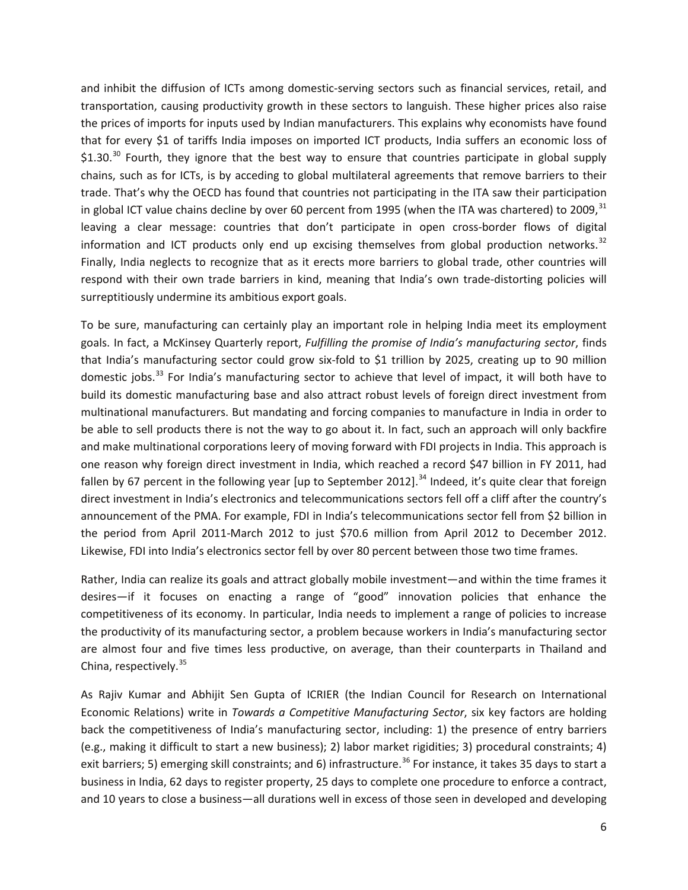and inhibit the diffusion of ICTs among domestic-serving sectors such as financial services, retail, and transportation, causing productivity growth in these sectors to languish. These higher prices also raise the prices of imports for inputs used by Indian manufacturers. This explains why economists have found that for every \$1 of tariffs India imposes on imported ICT products, India suffers an economic loss of \$1.[30](#page-7-0).<sup>30</sup> Fourth, they ignore that the best way to ensure that countries participate in global supply chains, such as for ICTs, is by acceding to global multilateral agreements that remove barriers to their trade. That's why the OECD has found that countries not participating in the ITA saw their participation in global ICT value chains decline by over 60 percent from 1995 (when the ITA was chartered) to 2009,  $31$ leaving a clear message: countries that don't participate in open cross-border flows of digital information and ICT products only end up excising themselves from global production networks.<sup>[32](#page-7-2)</sup> Finally, India neglects to recognize that as it erects more barriers to global trade, other countries will respond with their own trade barriers in kind, meaning that India's own trade-distorting policies will surreptitiously undermine its ambitious export goals.

To be sure, manufacturing can certainly play an important role in helping India meet its employment goals. In fact, a McKinsey Quarterly report, *Fulfilling the promise of India's manufacturing sector*, finds that India's manufacturing sector could grow six-fold to \$1 trillion by 2025, creating up to 90 million domestic jobs.<sup>[33](#page-7-3)</sup> For India's manufacturing sector to achieve that level of impact, it will both have to build its domestic manufacturing base and also attract robust levels of foreign direct investment from multinational manufacturers. But mandating and forcing companies to manufacture in India in order to be able to sell products there is not the way to go about it. In fact, such an approach will only backfire and make multinational corporations leery of moving forward with FDI projects in India. This approach is one reason why foreign direct investment in India, which reached a record \$47 billion in FY 2011, had fallen by 67 percent in the following year [up to September 2012].<sup>[34](#page-7-4)</sup> Indeed, it's quite clear that foreign direct investment in India's electronics and telecommunications sectors fell off a cliff after the country's announcement of the PMA. For example, FDI in India's telecommunications sector fell from \$2 billion in the period from April 2011-March 2012 to just \$70.6 million from April 2012 to December 2012. Likewise, FDI into India's electronics sector fell by over 80 percent between those two time frames.

<span id="page-5-3"></span><span id="page-5-2"></span><span id="page-5-1"></span><span id="page-5-0"></span>Rather, India can realize its goals and attract globally mobile investment—and within the time frames it desires—if it focuses on enacting a range of "good" innovation policies that enhance the competitiveness of its economy. In particular, India needs to implement a range of policies to increase the productivity of its manufacturing sector, a problem because workers in India's manufacturing sector are almost four and five times less productive, on average, than their counterparts in Thailand and China, respectively.<sup>[35](#page-7-5)</sup>

<span id="page-5-10"></span><span id="page-5-9"></span><span id="page-5-8"></span><span id="page-5-7"></span><span id="page-5-6"></span><span id="page-5-5"></span><span id="page-5-4"></span>As Rajiv Kumar and Abhijit Sen Gupta of ICRIER (the Indian Council for Research on International Economic Relations) write in *Towards a Competitive Manufacturing Sector*, six key factors are holding back the competitiveness of India's manufacturing sector, including: 1) the presence of entry barriers (e.g., making it difficult to start a new business); 2) labor market rigidities; 3) procedural constraints; 4) exit barriers; 5) emerging skill constraints; and 6) infrastructure.<sup>[36](#page-7-6)</sup> For instance, it takes 35 days to start a business in India, 62 days to register property, 25 days to complete one procedure to enforce a contract, and 10 years to close a business—all durations well in excess of those seen in developed and developing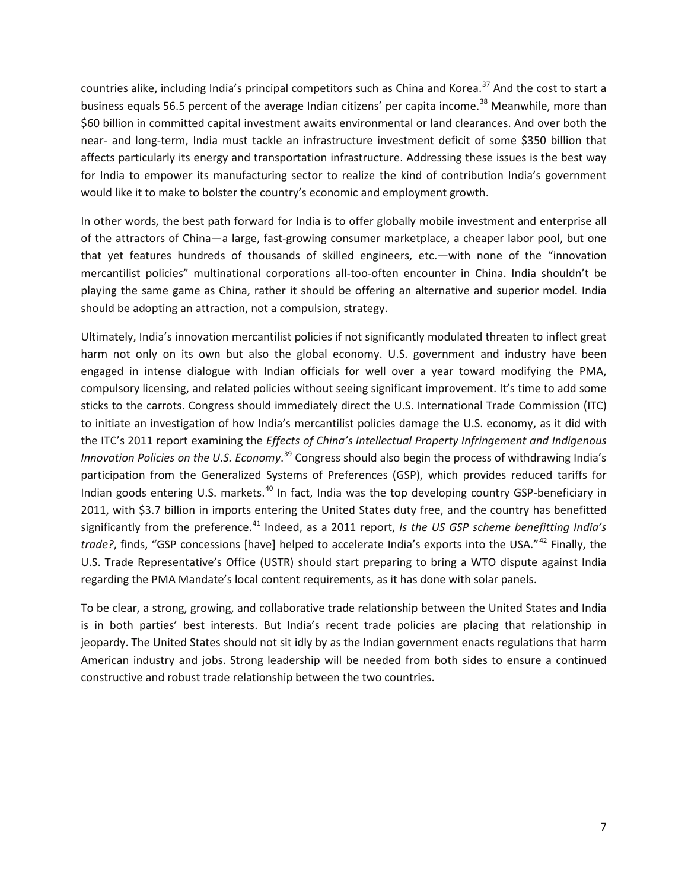<span id="page-6-1"></span><span id="page-6-0"></span>countries alike, including India's principal competitors such as China and Korea.<sup>[37](#page-8-0)</sup> And the cost to start a business equals 56.5 percent of the average Indian citizens' per capita income.<sup>[38](#page-8-1)</sup> Meanwhile, more than \$60 billion in committed capital investment awaits environmental or land clearances. And over both the near- and long-term, India must tackle an infrastructure investment deficit of some \$350 billion that affects particularly its energy and transportation infrastructure. Addressing these issues is the best way for India to empower its manufacturing sector to realize the kind of contribution India's government would like it to make to bolster the country's economic and employment growth.

<span id="page-6-4"></span><span id="page-6-3"></span><span id="page-6-2"></span>In other words, the best path forward for India is to offer globally mobile investment and enterprise all of the attractors of China—a large, fast-growing consumer marketplace, a cheaper labor pool, but one that yet features hundreds of thousands of skilled engineers, etc.—with none of the "innovation mercantilist policies" multinational corporations all-too-often encounter in China. India shouldn't be playing the same game as China, rather it should be offering an alternative and superior model. India should be adopting an attraction, not a compulsion, strategy.

Ultimately, India's innovation mercantilist policies if not significantly modulated threaten to inflect great harm not only on its own but also the global economy. U.S. government and industry have been engaged in intense dialogue with Indian officials for well over a year toward modifying the PMA, compulsory licensing, and related policies without seeing significant improvement. It's time to add some sticks to the carrots. Congress should immediately direct the U.S. International Trade Commission (ITC) to initiate an investigation of how India's mercantilist policies damage the U.S. economy, as it did with the ITC's 2011 report examining the *Effects of China's Intellectual Property Infringement and Indigenous Innovation Policies on the U.S. Economy*. [39](#page-8-2) Congress should also begin the process of withdrawing India's participation from the Generalized Systems of Preferences (GSP), which provides reduced tariffs for Indian goods entering U.S. markets.<sup>[40](#page-8-3)</sup> In fact, India was the top developing country GSP-beneficiary in 2011, with \$3.7 billion in imports entering the United States duty free, and the country has benefitted significantly from the preference.<sup>[41](#page-8-4)</sup> Indeed, as a 2011 report, *Is the US GSP scheme benefitting India's trade?*, finds, "GSP concessions [have] helped to accelerate India's exports into the USA."<sup>[42](#page-8-5)</sup> Finally, the U.S. Trade Representative's Office (USTR) should start preparing to bring a WTO dispute against India regarding the PMA Mandate's local content requirements, as it has done with solar panels.

To be clear, a strong, growing, and collaborative trade relationship between the United States and India is in both parties' best interests. But India's recent trade policies are placing that relationship in jeopardy. The United States should not sit idly by as the Indian government enacts regulations that harm American industry and jobs. Strong leadership will be needed from both sides to ensure a continued constructive and robust trade relationship between the two countries.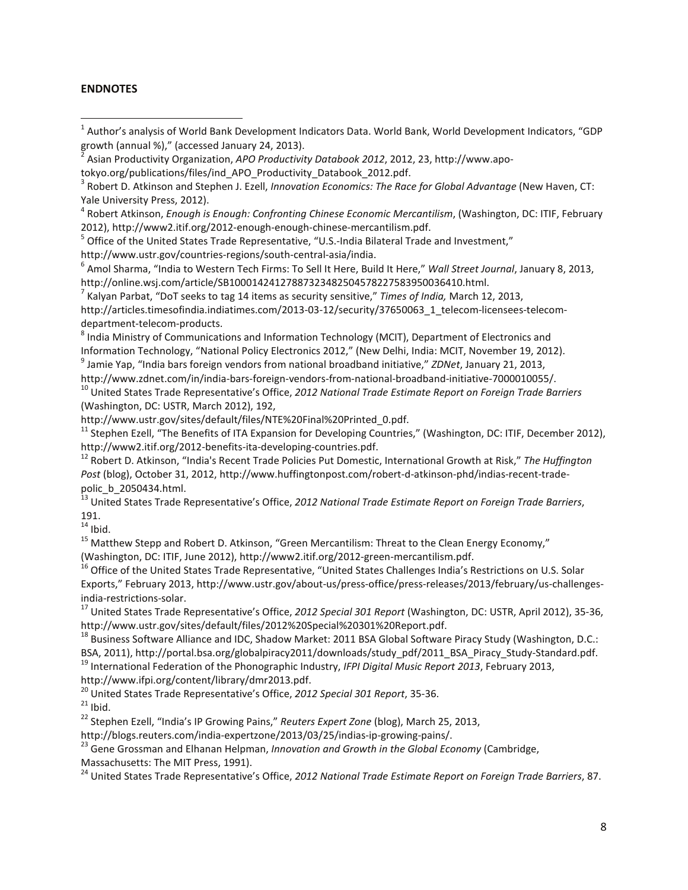#### **ENDNOTES**

<sup>4</sup> Robert Atkinson, *Enough is Enough: Confronting Chinese Economic Mercantilism*, (Washington, DC: ITIF, February 2012), http://www2.itif.org/2012-enough-enough-chinese-mercantilism.pdf.<br><sup>5</sup> Office of the United States Trade Representative, "U.S.-India Bilateral Trade and Investment,"

http://www.ustr.gov/countries-regions/south-central-asia/india.<br><sup>6</sup> Amol Sharma, "India to Western Tech Firms: To Sell It Here, Build It Here," *Wall Street Journal*, January 8, 2013, http://online.wsj.com/article/SB10001424127887323482504578227583950036410.html.<br><sup>7</sup> Kalyan Parbat, "DoT seeks to tag 14 items as security sensitive," *Times of India, March 12, 2013,* 

<span id="page-7-1"></span>

<span id="page-7-2"></span>http://articles.timesofindia.indiatimes.com/2013-03-12/security/37650063\_1\_telecom-licensees-telecom-

<span id="page-7-3"></span>department-telecom-products.<br><sup>8</sup> India Ministry of Communications and Information Technology (MCIT), Department of Electronics and Information Technology, "National Policy Electronics 2012," (New Delhi, India: MCIT, November 19, 2012).

<span id="page-7-4"></span><sup>9</sup> Jamie Yap, "India bars foreign vendors from national broadband initiative," *ZDNet*, January 21, 2013,

<span id="page-7-6"></span><span id="page-7-5"></span>http://www.zdnet.com/in/india-bars-foreign-vendors-from-national-broadband-initiative-7000010055/. <sup>10</sup> United States Trade Representative's Office, *2012 National Trade Estimate Report on Foreign Trade Barriers* (Washington, DC: USTR, March 2012), 192,

http://www.ustr.gov/sites/default/files/NTE%20Final%20Printed\_0.pdf.

 $11$  Stephen Ezell, "The Benefits of ITA Expansion for Developing Countries," (Washington, DC: ITIF, December 2012), http://www2.itif.org/2012-benefits-ita-developing-countries.pdf.<br><sup>12</sup> Robert D. Atkinson, "India's Recent Trade Policies Put Domestic, International Growth at Risk," *The Huffington* 

*Post* (blog), October 31, 2012, http://www.huffingtonpost.com/robert-d-atkinson-phd/indias-recent-trade-

polic\_b\_2050434.html.<br><sup>13</sup> United States Trade Representative's Office, *2012 National Trade Estimate Report on Foreign Trade Barriers*, 191.<br> $14$  Ibid.

<sup>15</sup> Matthew Stepp and Robert D. Atkinson, "Green Mercantilism: Threat to the Clean Energy Economy,"<br>(Washington, DC: ITIF, June 2012), http://www2.itif.org/2012-green-mercantilism.pdf.

<sup>16</sup> Office of the United States Trade Representative, "United States Challenges India's Restrictions on U.S. Solar Exports," February 2013, http://www.ustr.gov/about-us/press-office/press-releases/2013/february/us-challengesindia-restrictions-solar.<br><sup>17</sup> United States Trade Representative's Office, *2012 Special 301 Report* (Washington, DC: USTR, April 2012), 35-36,

http://www.ustr.gov/sites/default/files/2012%20Special%20301%20Report.pdf.

<sup>18</sup> Business Software Alliance and IDC, Shadow Market: 2011 BSA Global Software Piracy Study (Washington, D.C.: BSA, 2011), http://portal.bsa.org/globalpiracy2011/downloads/study\_pdf/2011\_BSA\_Piracy\_Study-Standard.pdf. <sup>19</sup> International Federation of the Phonographic Industry, *IFPI Digital Music Report 2013*, February 2013,

http://www.ifpi.org/content/library/dmr2013.pdf.<br><sup>20</sup> United States Trade Representative's Office, 2012 Special 301 Report, 35-36.<br><sup>21</sup> Ibid.<br><sup>22</sup> Stephen Ezell, "India's IP Growing Pains," Reuters Expert Zone (blog), Marc

http://blogs.reuters.com/india-expertzone/2013/03/25/indias-ip-growing-pains/. <sup>23</sup> Gene Grossman and Elhanan Helpman, *Innovation and Growth in the Global Economy* (Cambridge, Massachusetts: The MIT Press, 1991).

<sup>24</sup> United States Trade Representative's Office, *2012 National Trade Estimate Report on Foreign Trade Barriers*, 87.

<sup>&</sup>lt;sup>1</sup> Author's analysis of World Bank Development Indicators Data. World Bank, World Development Indicators, "GDP growth (annual %)," (accessed January 24, 2013).<br><sup>2</sup> Asian Productivity Organization, *APO Productivity Databook 2012*, 2012, 23, http://www.apo-

tokyo.org/publications/files/ind\_APO\_Productivity\_Databook\_2012.pdf.<br><sup>3</sup> Robert D. Atkinson and Stephen J. Ezell, *Innovation Economics: The Race for Global Advantage* (New Haven, CT: Yale University Press, 2012).

<span id="page-7-0"></span>